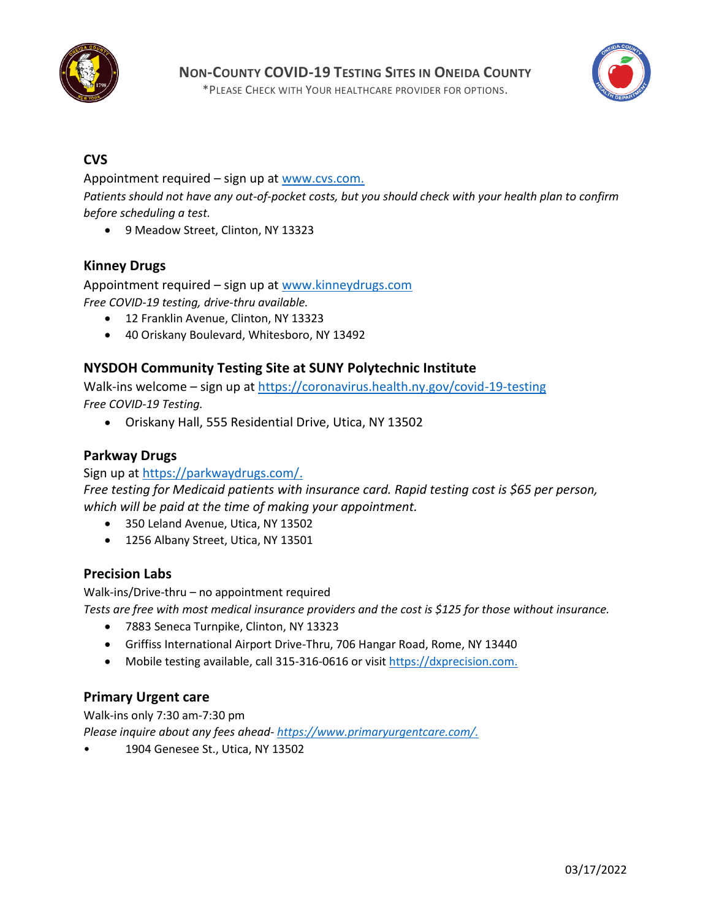

\*PLEASE CHECK WITH YOUR HEALTHCARE PROVIDER FOR OPTIONS.



# **CVS**

Appointment required – sign up at [www.cvs.com.](http://www.cvs.com/) *Patients should not have any out-of-pocket costs, but you should check with your health plan to confirm before scheduling a test.* 

• 9 Meadow Street, Clinton, NY 13323

## **Kinney Drugs**

Appointment required – sign up at [www.kinneydrugs.com](http://www.kinneydrugs.com/) *Free COVID-19 testing, drive-thru available.* 

- 12 Franklin Avenue, Clinton, NY 13323
- 40 Oriskany Boulevard, Whitesboro, NY 13492

### **NYSDOH Community Testing Site at SUNY Polytechnic Institute**

Walk-ins welcome – sign up at<https://coronavirus.health.ny.gov/covid-19-testing> *Free COVID-19 Testing.*

• Oriskany Hall, 555 Residential Drive, Utica, NY 13502

#### **Parkway Drugs**

Sign up a[t https://parkwaydrugs.com/.](https://parkwaydrugs.com/)

*Free testing for Medicaid patients with insurance card. Rapid testing cost is \$65 per person, which will be paid at the time of making your appointment.*

- 350 Leland Avenue, Utica, NY 13502
- 1256 Albany Street, Utica, NY 13501

#### **Precision Labs**

Walk-ins/Drive-thru – no appointment required

- *Tests are free with most medical insurance providers and the cost is \$125 for those without insurance.*
	- 7883 Seneca Turnpike, Clinton, NY 13323
	- Griffiss International Airport Drive-Thru, 706 Hangar Road, Rome, NY 13440
	- Mobile testing available, call 315-316-0616 or visit [https://dxprecision.com.](https://dxprecision.com/)

#### **Primary Urgent care**

Walk-ins only 7:30 am-7:30 pm *Please inquire about any fees ahead- [https://www.primaryurgentcare.com/.](https://www.primaryurgentcare.com/)*

• 1904 Genesee St., Utica, NY 13502